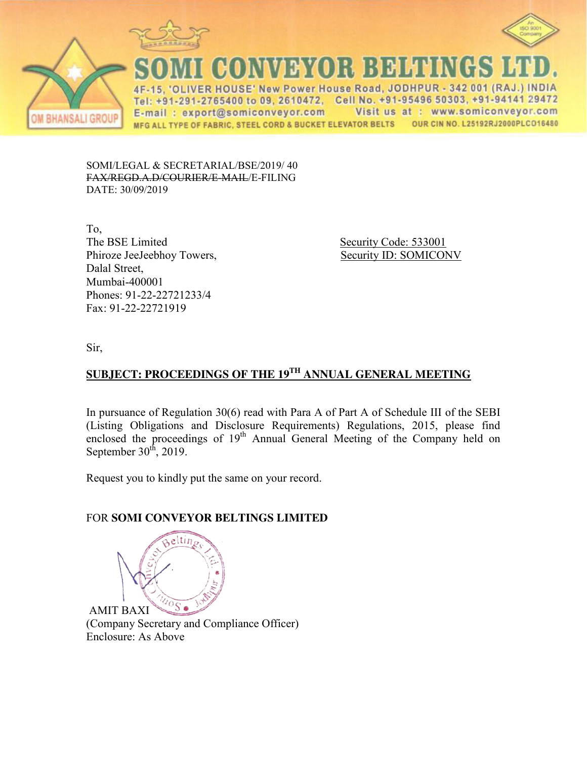

 $\Delta F$ 



**BHANSALI GROUP** 

CONVEYOR BELTINGS L ER HOUSE' New Power House Road, JODHPUR - 342 001 (RAJ.) INDIA Tel: +91-291-2765400 to 09, 2610472, Cell No. +91-95496 50303, +91-94141 29472

E-mail: export@somiconveyor.com Visit us at : www.somiconveyor.com OUR CIN NO. L25192RJ2000PLCO16480 MFG ALL TYPE OF FABRIC, STEEL CORD & BUCKET ELEVATOR BELTS

SOMI/LEGAL & SECRETARIAL/BSE/2019/ 40 FAX/REGD.A.D/COURIER/E-MAIL/E-FILING DATE: 30/09/2019

To, The BSE Limited Security Code: 533001 Phiroze JeeJeebhoy Towers, Security ID: SOMICONV Dalal Street, Mumbai-400001 Phones: 91-22-22721233/4 Fax: 91-22-22721919

Sir,

# **SUBJECT: PROCEEDINGS OF THE 19TH ANNUAL GENERAL MEETING**

In pursuance of Regulation 30(6) read with Para A of Part A of Schedule III of the SEBI (Listing Obligations and Disclosure Requirements) Regulations, 2015, please find enclosed the proceedings of  $19<sup>th</sup>$  Annual General Meeting of the Company held on September  $30<sup>th</sup>$ , 2019.

Request you to kindly put the same on your record.

# FOR **SOMI CONVEYOR BELTINGS LIMITED**



(Company Secretary and Compliance Officer) Enclosure: As Above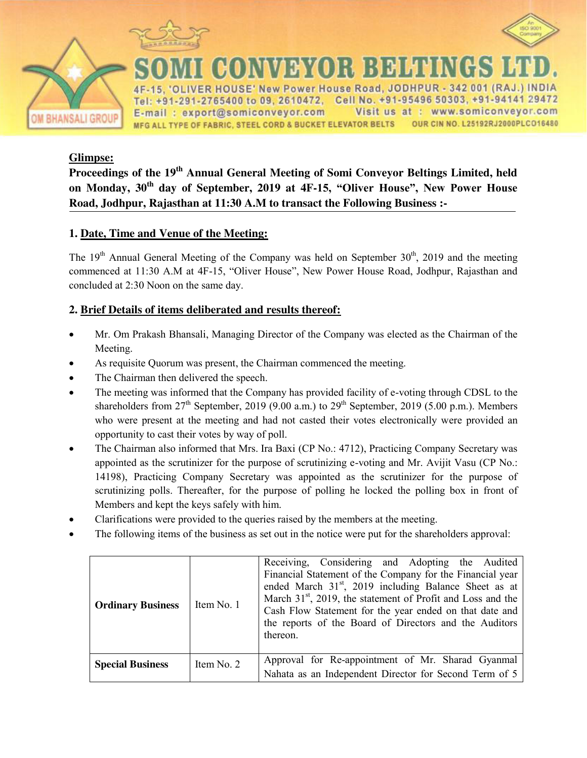



**HANSALI GROUP** 

ER HOUSE' New Power House Road, JODHPUR - 342 001 (RAJ.) INDIA Tel: +91-291-2765400 to 09, 2610472, Cell No. +91-95496 50303, +91-94141 29472 Visit us at : www.somiconveyor.com E-mail: export@somiconveyor.com OUR CIN NO. L25192RJ2000PLCO16480 MFG ALL TYPE OF FABRIC, STEEL CORD & BUCKET ELEVATOR BELTS

мажон наминке

### **Glimpse:**

**Proceedings of the 19<sup>th</sup> Annual General Meeting of Somi Conveyor Beltings Limited, held on Monday, 30th day of September, 2019 at 4F-15, "Oliver House", New Power House Road, Jodhpur, Rajasthan at 11:30 A.M to transact the Following Business :-** 

## **1. Date, Time and Venue of the Meeting:**

The  $19<sup>th</sup>$  Annual General Meeting of the Company was held on September  $30<sup>th</sup>$ , 2019 and the meeting commenced at 11:30 A.M at 4F-15, "Oliver House", New Power House Road, Jodhpur, Rajasthan and concluded at 2:30 Noon on the same day.

#### **2. Brief Details of items deliberated and results thereof:**

- Mr. Om Prakash Bhansali, Managing Director of the Company was elected as the Chairman of the Meeting.
- As requisite Quorum was present, the Chairman commenced the meeting.
- The Chairman then delivered the speech.
- The meeting was informed that the Company has provided facility of e-voting through CDSL to the shareholders from  $27<sup>th</sup>$  September, 2019 (9.00 a.m.) to  $29<sup>th</sup>$  September, 2019 (5.00 p.m.). Members who were present at the meeting and had not casted their votes electronically were provided an opportunity to cast their votes by way of poll.
- The Chairman also informed that Mrs. Ira Baxi (CP No.: 4712), Practicing Company Secretary was appointed as the scrutinizer for the purpose of scrutinizing e-voting and Mr. Avijit Vasu (CP No.: 14198), Practicing Company Secretary was appointed as the scrutinizer for the purpose of scrutinizing polls. Thereafter, for the purpose of polling he locked the polling box in front of Members and kept the keys safely with him.
- Clarifications were provided to the queries raised by the members at the meeting.
- The following items of the business as set out in the notice were put for the shareholders approval:

| <b>Ordinary Business</b> | Item No. 1 | Receiving, Considering and Adopting the Audited<br>Financial Statement of the Company for the Financial year<br>ended March 31 <sup>st</sup> , 2019 including Balance Sheet as at<br>March $31st$ , 2019, the statement of Profit and Loss and the<br>Cash Flow Statement for the year ended on that date and<br>the reports of the Board of Directors and the Auditors<br>thereon. |
|--------------------------|------------|-------------------------------------------------------------------------------------------------------------------------------------------------------------------------------------------------------------------------------------------------------------------------------------------------------------------------------------------------------------------------------------|
| <b>Special Business</b>  | Item No. 2 | Approval for Re-appointment of Mr. Sharad Gyanmal<br>Nahata as an Independent Director for Second Term of 5                                                                                                                                                                                                                                                                         |